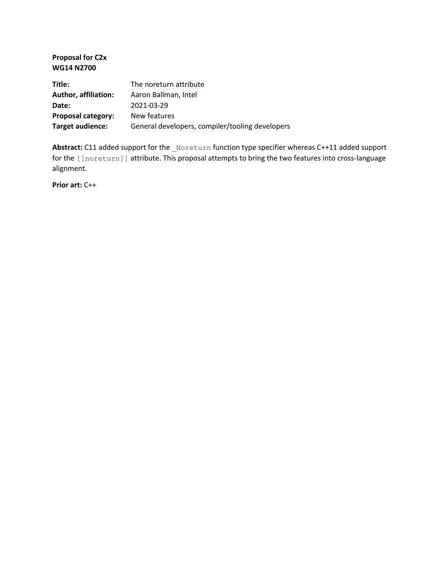**Proposal for C2x WG14 N2700**

| Title:               | The noreturn attribute                          |
|----------------------|-------------------------------------------------|
| Author, affiliation: | Aaron Ballman, Intel                            |
| Date:                | 2021-03-29                                      |
| Proposal category:   | New features                                    |
| Target audience:     | General developers, compiler/tooling developers |

Abstract: C11 added support for the \_Noreturn function type specifier whereas C++11 added support for the [[noreturn]] attribute. This proposal attempts to bring the two features into cross-language alignment.

**Prior art:** C++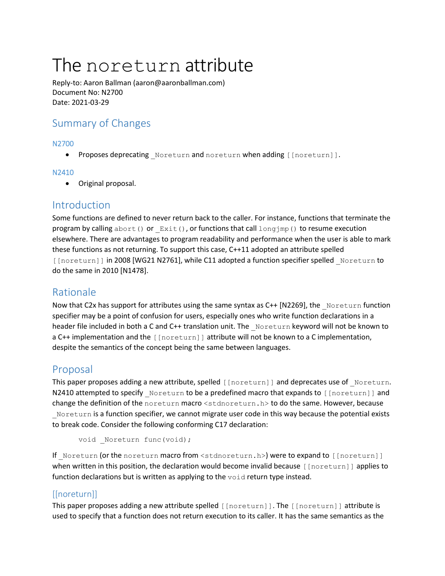# The noreturn attribute

Reply-to: Aaron Ballman (aaron@aaronballman.com) Document No: N2700 Date: 2021-03-29

# Summary of Changes

## N2700

• Proposes deprecating Noreturn and noreturn when adding [[noreturn]].

## N2410

• Original proposal.

## Introduction

Some functions are defined to never return back to the caller. For instance, functions that terminate the program by calling abort () or  $Exit()$ , or functions that call longjmp() to resume execution elsewhere. There are advantages to program readability and performance when the user is able to mark these functions as not returning. To support this case, C++11 adopted an attribute spelled [[noreturn]] in 2008 [WG21 N2761], while C11 adopted a function specifier spelled Noreturn to do the same in 2010 [N1478].

# Rationale

Now that C2x has support for attributes using the same syntax as C++ [N2269], the Noreturn function specifier may be a point of confusion for users, especially ones who write function declarations in a header file included in both a C and C++ translation unit. The Noreturn keyword will not be known to a C++ implementation and the [[noreturn]] attribute will not be known to a C implementation, despite the semantics of the concept being the same between languages.

# Proposal

This paper proposes adding a new attribute, spelled [[noreturn]] and deprecates use of Noreturn. N2410 attempted to specify Noreturn to be a predefined macro that expands to [[noreturn]] and change the definition of the noreturn macro <stdnoreturn.h> to do the same. However, because Noreturn is a function specifier, we cannot migrate user code in this way because the potential exists to break code. Consider the following conforming C17 declaration:

```
void Noreturn func(void);
```
If Noreturn (or the noreturn macro from <stdnoreturn.h>) were to expand to [[noreturn]] when written in this position, the declaration would become invalid because [[noreturn]] applies to function declarations but is written as applying to the void return type instead.

## [[noreturn]]

This paper proposes adding a new attribute spelled [[noreturn]]. The [[noreturn]] attribute is used to specify that a function does not return execution to its caller. It has the same semantics as the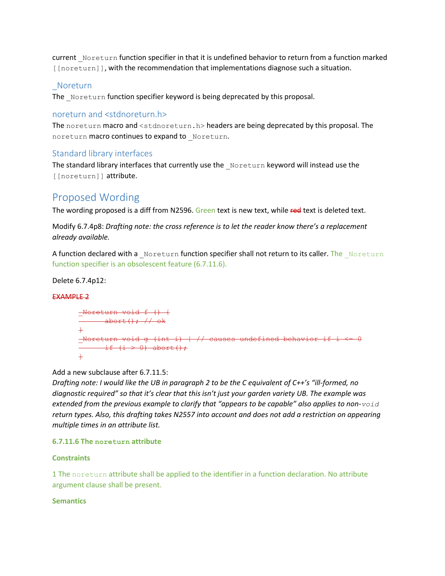current Noreturn function specifier in that it is undefined behavior to return from a function marked [[noreturn]], with the recommendation that implementations diagnose such a situation.

### \_Noreturn

The Noreturn function specifier keyword is being deprecated by this proposal.

## noreturn and <stdnoreturn.h>

The noreturn macro and <stdnoreturn.h> headers are being deprecated by this proposal. The noreturn macro continues to expand to Noreturn.

## Standard library interfaces

The standard library interfaces that currently use the Noreturn keyword will instead use the [[noreturn]] attribute.

## Proposed Wording

The wording proposed is a diff from N2596. Green text is new text, while red text is deleted text.

Modify 6.7.4p8: *Drafting note: the cross reference is to let the reader know there's a replacement already available.*

A function declared with a \_Noreturn function specifier shall not return to its caller. The \_Noreturn function specifier is an obsolescent feature (6.7.11.6).

Delete 6.7.4p12:

#### EXAMPLE 2

```
Noreturn void f () {
        abort<del>(); // o</del>k
}
Noreturn void g (int i) \frac{1}{2} // causes undefined behavior if i \leq 0if (i \rightarrow 0) abort();
\ddot{}
```
Add a new subclause after 6.7.11.5:

*Drafting note: I would like the UB in paragraph 2 to be the C equivalent of C++'s "ill-formed, no diagnostic required" so that it's clear that this isn't just your garden variety UB. The example was extended from the previous example to clarify that "appears to be capable" also applies to non-void return types. Also, this drafting takes N2557 into account and does not add a restriction on appearing multiple times in an attribute list.*

#### **6.7.11.6 The noreturn attribute**

#### **Constraints**

1 The noreturn attribute shall be applied to the identifier in a function declaration. No attribute argument clause shall be present.

#### **Semantics**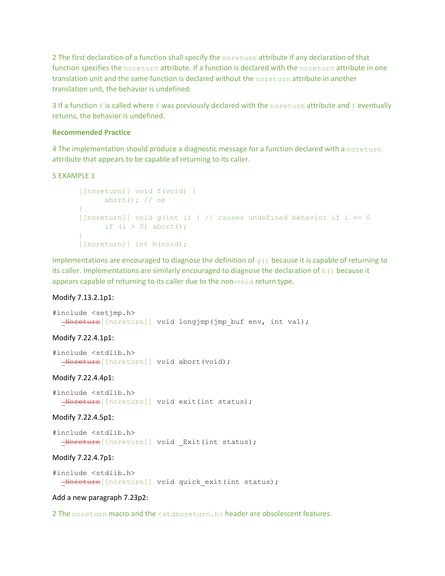2 The first declaration of a function shall specify the noreturn attribute if any declaration of that function specifies the noreturn attribute. If a function is declared with the noreturn attribute in one translation unit and the same function is declared without the noreturn attribute in another translation unit, the behavior is undefined.

3 If a function  $f$  is called where  $f$  was previously declared with the noreturn attribute and  $f$  eventually returns, the behavior is undefined.

#### **Recommended Practice**

4 The implementation should produce a diagnostic message for a function declared with a noreturn attribute that appears to be capable of returning to its caller.

#### 5 EXAMPLE 1

```
[[noreturn]] void f(void) {
    abort(); // ok
}
[[noreturn]] void g(int i) { // causes undefined behavior if i \leq 0if (i > 0) abort(i);
}
[[noreturn]] int h(void);
```
Implementations are encouraged to diagnose the definition of  $g(t)$  because it is capable of returning to its caller. Implementations are similarly encouraged to diagnose the declaration of h() because it appears capable of returning to its caller due to the non-void return type.

#### Modify 7.13.2.1p1:

```
#include <setjmp.h>
  -Noreturn[[noreturn]] void longjmp(jmp buf env, int val);
```
#### Modify 7.22.4.1p1:

```
#include <stdlib.h>
 -Noreturn[[noreturn]] void abort(void);
```
#### Modify 7.22.4.4p1:

```
#include <stdlib.h>
  _Noreturn[[noreturn]] void exit(int status);
```
#### Modify 7.22.4.5p1:

```
#include <stdlib.h>
 -Noreturn[[noreturn]] void Exit(int status);
```
#### Modify 7.22.4.7p1:

```
#include <stdlib.h>
 -Noreturn[[noreturn]] void quick exit(int status);
```
#### Add a new paragraph 7.23p2:

2 The noreturn macro and the <stdnoreturn.h> header are obsolescent features.